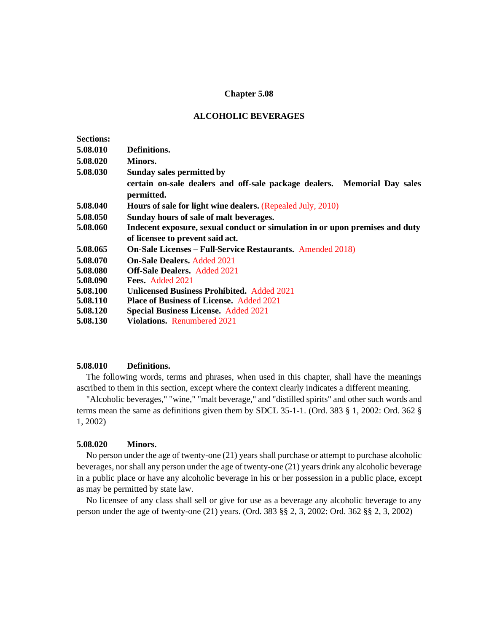## **Chapter 5.08**

#### **ALCOHOLIC BEVERAGES**

| <b>Sections:</b> |                                                                                        |
|------------------|----------------------------------------------------------------------------------------|
| 5.08.010         | Definitions.                                                                           |
| 5.08.020         | Minors.                                                                                |
| 5.08.030         | Sunday sales permitted by                                                              |
|                  | certain on-sale dealers and off-sale package dealers. Memorial Day sales<br>permitted. |
| 5.08.040         | Hours of sale for light wine dealers. (Repealed July, 2010)                            |
| 5.08.050         | Sunday hours of sale of malt beverages.                                                |
| 5.08.060         | Indecent exposure, sexual conduct or simulation in or upon premises and duty           |
|                  | of licensee to prevent said act.                                                       |
| 5.08.065         | <b>On-Sale Licenses – Full-Service Restaurants.</b> Amended 2018)                      |
| 5.08.070         | <b>On-Sale Dealers. Added 2021</b>                                                     |
| 5.08.080         | <b>Off-Sale Dealers. Added 2021</b>                                                    |
| 5.08.090         | Fees. Added 2021                                                                       |
| 5.08.100         | <b>Unlicensed Business Prohibited.</b> Added 2021                                      |
| 5.08.110         | <b>Place of Business of License.</b> Added 2021                                        |
| 5.08.120         | <b>Special Business License. Added 2021</b>                                            |
| 5.08.130         | <b>Violations.</b> Renumbered 2021                                                     |

### **5.08.010 Definitions.**

The following words, terms and phrases, when used in this chapter, shall have the meanings ascribed to them in this section, except where the context clearly indicates a different meaning.

"Alcoholic beverages," "wine," "malt beverage," and "distilled spirits" and other such words and terms mean the same as definitions given them by SDCL 35-1-1. (Ord. 383 § 1, 2002: Ord. 362 § 1, 2002)

### **5.08.020 Minors.**

No person under the age of twenty-one (21) years shall purchase or attempt to purchase alcoholic beverages, nor shall any person under the age of twenty-one (21) years drink any alcoholic beverage in a public place or have any alcoholic beverage in his or her possession in a public place, except as may be permitted by state law.

No licensee of any class shall sell or give for use as a beverage any alcoholic beverage to any person under the age of twenty-one (21) years. (Ord. 383 §§ 2, 3, 2002: Ord. 362 §§ 2, 3, 2002)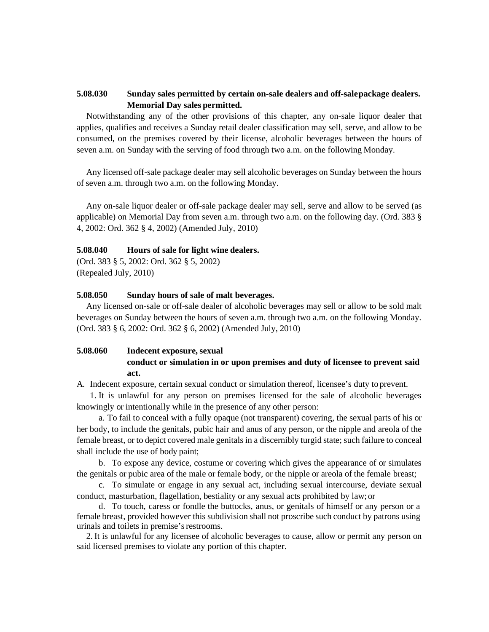# **5.08.030 Sunday sales permitted by certain on-sale dealers and off-salepackage dealers. Memorial Day sales permitted.**

Notwithstanding any of the other provisions of this chapter, any on-sale liquor dealer that applies, qualifies and receives a Sunday retail dealer classification may sell, serve, and allow to be consumed, on the premises covered by their license, alcoholic beverages between the hours of seven a.m. on Sunday with the serving of food through two a.m. on the following Monday.

Any licensed off-sale package dealer may sell alcoholic beverages on Sunday between the hours of seven a.m. through two a.m. on the following Monday.

Any on-sale liquor dealer or off-sale package dealer may sell, serve and allow to be served (as applicable) on Memorial Day from seven a.m. through two a.m. on the following day. (Ord. 383 § 4, 2002: Ord. 362 § 4, 2002) (Amended July, 2010)

## **5.08.040 Hours of sale for light wine dealers.**

(Ord. 383 § 5, 2002: Ord. 362 § 5, 2002) (Repealed July, 2010)

#### **5.08.050 Sunday hours of sale of malt beverages.**

Any licensed on-sale or off-sale dealer of alcoholic beverages may sell or allow to be sold malt beverages on Sunday between the hours of seven a.m. through two a.m. on the following Monday. (Ord. 383 § 6, 2002: Ord. 362 § 6, 2002) (Amended July, 2010)

# **5.08.060 Indecent exposure, sexual**

# **conduct or simulation in or upon premises and duty of licensee to prevent said act.**

A. Indecent exposure, certain sexual conduct or simulation thereof, licensee's duty toprevent.

1. It is unlawful for any person on premises licensed for the sale of alcoholic beverages knowingly or intentionally while in the presence of any other person:

a. To fail to conceal with a fully opaque (not transparent) covering, the sexual parts of his or her body, to include the genitals, pubic hair and anus of any person, or the nipple and areola of the female breast, or to depict covered male genitals in a discernibly turgid state; such failure to conceal shall include the use of body paint;

b. To expose any device, costume or covering which gives the appearance of or simulates the genitals or pubic area of the male or female body, or the nipple or areola of the female breast;

c. To simulate or engage in any sexual act, including sexual intercourse, deviate sexual conduct, masturbation, flagellation, bestiality or any sexual acts prohibited by law;or

d. To touch, caress or fondle the buttocks, anus, or genitals of himself or any person or a female breast, provided however this subdivision shall not proscribe such conduct by patrons using urinals and toilets in premise's restrooms.

2. It is unlawful for any licensee of alcoholic beverages to cause, allow or permit any person on said licensed premises to violate any portion of this chapter.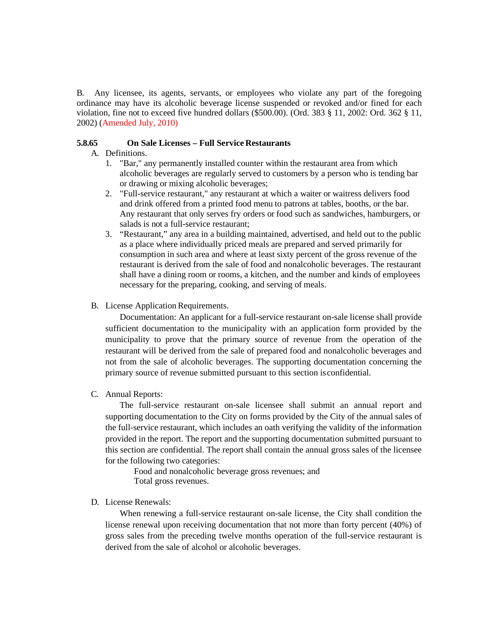B. Any licensee, its agents, servants, or employees who violate any part of the foregoing ordinance may have its alcoholic beverage license suspended or revoked and/or fined for each violation, fine not to exceed five hundred dollars (\$500.00). (Ord. 383 § 11, 2002: Ord. 362 § 11, 2002) (Amended July, 2010)

## **5.8.65 On Sale Licenses – Full Service Restaurants**

- A. Definitions.
	- 1. "Bar," any permanently installed counter within the restaurant area from which alcoholic beverages are regularly served to customers by a person who is tending bar or drawing or mixing alcoholic beverages;
	- 2. "Full-service restaurant," any restaurant at which a waiter or waitress delivers food and drink offered from a printed food menu to patrons at tables, booths, or the bar. Any restaurant that only serves fry orders or food such as sandwiches, hamburgers, or salads is not a full-service restaurant;
	- 3. "Restaurant," any area in a building maintained, advertised, and held out to the public as a place where individually priced meals are prepared and served primarily for consumption in such area and where at least sixty percent of the gross revenue of the restaurant is derived from the sale of food and nonalcoholic beverages. The restaurant shall have a dining room or rooms, a kitchen, and the number and kinds of employees necessary for the preparing, cooking, and serving of meals.
- B. License Application Requirements.

Documentation: An applicant for a full-service restaurant on-sale license shall provide sufficient documentation to the municipality with an application form provided by the municipality to prove that the primary source of revenue from the operation of the restaurant will be derived from the sale of prepared food and nonalcoholic beverages and not from the sale of alcoholic beverages. The supporting documentation concerning the primary source of revenue submitted pursuant to this section isconfidential.

#### C. Annual Reports:

The full-service restaurant on-sale licensee shall submit an annual report and supporting documentation to the City on forms provided by the City of the annual sales of the full-service restaurant, which includes an oath verifying the validity of the information provided in the report. The report and the supporting documentation submitted pursuant to this section are confidential. The report shall contain the annual gross sales of the licensee for the following two categories:

Food and nonalcoholic beverage gross revenues; and Total gross revenues.

### D. License Renewals:

When renewing a full-service restaurant on-sale license, the City shall condition the license renewal upon receiving documentation that not more than forty percent (40%) of gross sales from the preceding twelve months operation of the full-service restaurant is derived from the sale of alcohol or alcoholic beverages.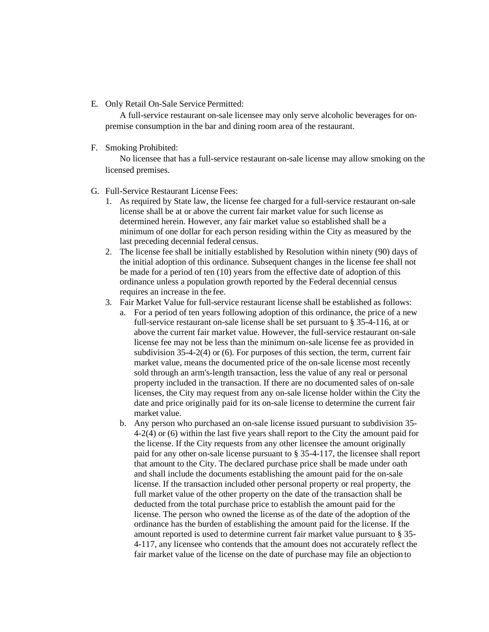E. Only Retail On-Sale Service Permitted:

A full-service restaurant on-sale licensee may only serve alcoholic beverages for onpremise consumption in the bar and dining room area of the restaurant.

F. Smoking Prohibited:

No licensee that has a full-service restaurant on-sale license may allow smoking on the licensed premises.

- G. Full-Service Restaurant License Fees:
	- 1. As required by State law, the license fee charged for a full-service restaurant on-sale license shall be at or above the current fair market value for such license as determined herein. However, any fair market value so established shall be a minimum of one dollar for each person residing within the City as measured by the last preceding decennial federal census.
	- 2. The license fee shall be initially established by Resolution within ninety (90) days of the initial adoption of this ordinance. Subsequent changes in the license fee shall not be made for a period of ten (10) years from the effective date of adoption of this ordinance unless a population growth reported by the Federal decennial census requires an increase in the fee.
	- 3. Fair Market Value for full-service restaurant license shall be established as follows:
		- a. For a period of ten years following adoption of this ordinance, the price of a new full-service restaurant on-sale license shall be set pursuant to § 35-4-116, at or above the current fair market value. However, the full-service restaurant on-sale license fee may not be less than the minimum on-sale license fee as provided in subdivision 35-4-2(4) or (6). For purposes of this section, the term, current fair market value, means the documented price of the on-sale license most recently sold through an arm's-length transaction, less the value of any real or personal property included in the transaction. If there are no documented sales of on-sale licenses, the City may request from any on-sale license holder within the City the date and price originally paid for its on-sale license to determine the current fair market value.
		- b. Any person who purchased an on-sale license issued pursuant to subdivision 35- 4-2(4) or (6) within the last five years shall report to the City the amount paid for the license. If the City requests from any other licensee the amount originally paid for any other on-sale license pursuant to § 35-4-117, the licensee shall report that amount to the City. The declared purchase price shall be made under oath and shall include the documents establishing the amount paid for the on-sale license. If the transaction included other personal property or real property, the full market value of the other property on the date of the transaction shall be deducted from the total purchase price to establish the amount paid for the license. The person who owned the license as of the date of the adoption of the ordinance has the burden of establishing the amount paid for the license. If the amount reported is used to determine current fair market value pursuant to § 35- 4-117, any licensee who contends that the amount does not accurately reflect the fair market value of the license on the date of purchase may file an objection to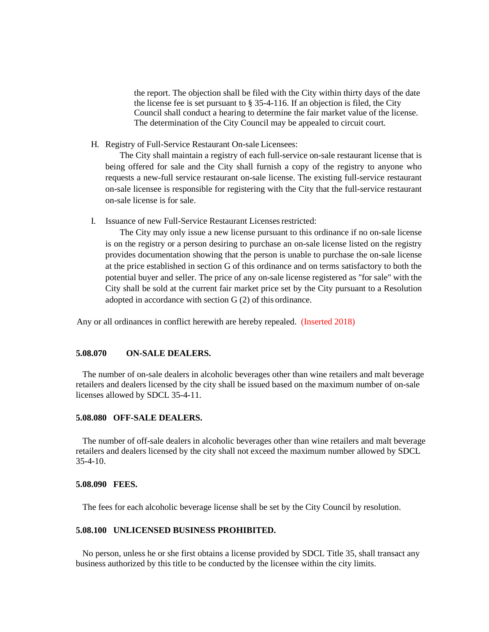the report. The objection shall be filed with the City within thirty days of the date the license fee is set pursuant to § 35-4-116. If an objection is filed, the City Council shall conduct a hearing to determine the fair market value of the license. The determination of the City Council may be appealed to circuit court.

H. Registry of Full-Service Restaurant On-sale Licensees:

The City shall maintain a registry of each full-service on-sale restaurant license that is being offered for sale and the City shall furnish a copy of the registry to anyone who requests a new-full service restaurant on-sale license. The existing full-service restaurant on-sale licensee is responsible for registering with the City that the full-service restaurant on-sale license is for sale.

I. Issuance of new Full-Service Restaurant Licensesrestricted:

The City may only issue a new license pursuant to this ordinance if no on-sale license is on the registry or a person desiring to purchase an on-sale license listed on the registry provides documentation showing that the person is unable to purchase the on-sale license at the price established in section G of this ordinance and on terms satisfactory to both the potential buyer and seller. The price of any on-sale license registered as "for sale" with the City shall be sold at the current fair market price set by the City pursuant to a Resolution adopted in accordance with section G (2) of this ordinance.

Any or all ordinances in conflict herewith are hereby repealed. (Inserted 2018)

## **5.08.070 ON-SALE DEALERS.**

 The number of on-sale dealers in alcoholic beverages other than wine retailers and malt beverage retailers and dealers licensed by the city shall be issued based on the maximum number of on-sale licenses allowed by SDCL 35-4-11.

## **5.08.080 OFF-SALE DEALERS.**

 The number of off-sale dealers in alcoholic beverages other than wine retailers and malt beverage retailers and dealers licensed by the city shall not exceed the maximum number allowed by SDCL  $35-4-10$ .

### **5.08.090 FEES.**

The fees for each alcoholic beverage license shall be set by the City Council by resolution.

#### **5.08.100 UNLICENSED BUSINESS PROHIBITED.**

 No person, unless he or she first obtains a license provided by SDCL Title 35, shall transact any business authorized by this title to be conducted by the licensee within the city limits.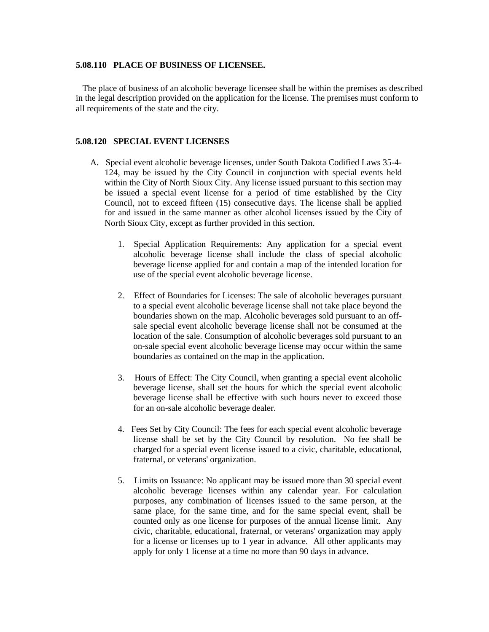#### **5.08.110 PLACE OF BUSINESS OF LICENSEE.**

 The place of business of an alcoholic beverage licensee shall be within the premises as described in the legal description provided on the application for the license. The premises must conform to all requirements of the state and the city.

#### **5.08.120 SPECIAL EVENT LICENSES**

- A. Special event alcoholic beverage licenses, under South Dakota Codified Laws 35-4- 124, may be issued by the City Council in conjunction with special events held within the City of North Sioux City. Any license issued pursuant to this section may be issued a special event license for a period of time established by the City Council, not to exceed fifteen (15) consecutive days. The license shall be applied for and issued in the same manner as other alcohol licenses issued by the City of North Sioux City, except as further provided in this section.
	- 1. Special Application Requirements: Any application for a special event alcoholic beverage license shall include the class of special alcoholic beverage license applied for and contain a map of the intended location for use of the special event alcoholic beverage license.
	- 2. Effect of Boundaries for Licenses: The sale of alcoholic beverages pursuant to a special event alcoholic beverage license shall not take place beyond the boundaries shown on the map. Alcoholic beverages sold pursuant to an offsale special event alcoholic beverage license shall not be consumed at the location of the sale. Consumption of alcoholic beverages sold pursuant to an on-sale special event alcoholic beverage license may occur within the same boundaries as contained on the map in the application.
	- 3. Hours of Effect: The City Council, when granting a special event alcoholic beverage license, shall set the hours for which the special event alcoholic beverage license shall be effective with such hours never to exceed those for an on-sale alcoholic beverage dealer.
	- 4. Fees Set by City Council: The fees for each special event alcoholic beverage license shall be set by the City Council by resolution. No fee shall be charged for a special event license issued to a civic, charitable, educational, fraternal, or veterans' organization.
	- 5. Limits on Issuance: No applicant may be issued more than 30 special event alcoholic beverage licenses within any calendar year. For calculation purposes, any combination of licenses issued to the same person, at the same place, for the same time, and for the same special event, shall be counted only as one license for purposes of the annual license limit. Any civic, charitable, educational, fraternal, or veterans' organization may apply for a license or licenses up to 1 year in advance. All other applicants may apply for only 1 license at a time no more than 90 days in advance.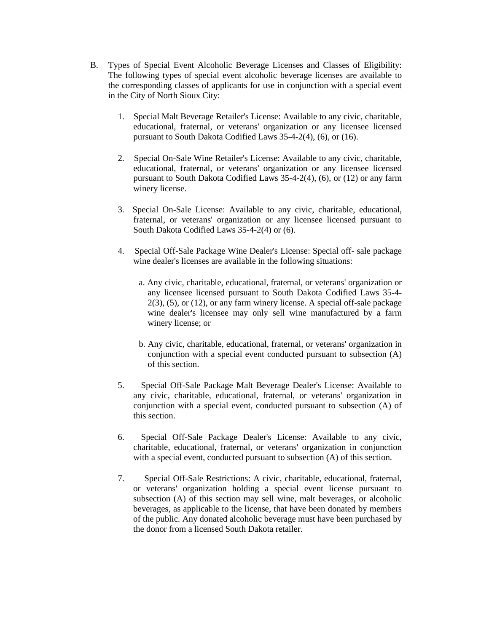- B. Types of Special Event Alcoholic Beverage Licenses and Classes of Eligibility: The following types of special event alcoholic beverage licenses are available to the corresponding classes of applicants for use in conjunction with a special event in the City of North Sioux City:
	- 1. Special Malt Beverage Retailer's License: Available to any civic, charitable, educational, fraternal, or veterans' organization or any licensee licensed pursuant to South Dakota Codified Laws 35-4-2(4), (6), or (16).
	- 2. Special On-Sale Wine Retailer's License: Available to any civic, charitable, educational, fraternal, or veterans' organization or any licensee licensed pursuant to South Dakota Codified Laws 35-4-2(4), (6), or (12) or any farm winery license.
	- 3. Special On-Sale License: Available to any civic, charitable, educational, fraternal, or veterans' organization or any licensee licensed pursuant to South Dakota Codified Laws 35-4-2(4) or (6).
	- 4. Special Off-Sale Package Wine Dealer's License: Special off- sale package wine dealer's licenses are available in the following situations:
		- a. Any civic, charitable, educational, fraternal, or veterans' organization or any licensee licensed pursuant to South Dakota Codified Laws 35-4-  $2(3)$ ,  $(5)$ , or  $(12)$ , or any farm winery license. A special off-sale package wine dealer's licensee may only sell wine manufactured by a farm winery license; or
		- b. Any civic, charitable, educational, fraternal, or veterans' organization in conjunction with a special event conducted pursuant to subsection (A) of this section.
	- 5. Special Off-Sale Package Malt Beverage Dealer's License: Available to any civic, charitable, educational, fraternal, or veterans' organization in conjunction with a special event, conducted pursuant to subsection (A) of this section.
	- 6. Special Off-Sale Package Dealer's License: Available to any civic, charitable, educational, fraternal, or veterans' organization in conjunction with a special event, conducted pursuant to subsection (A) of this section.
	- 7. Special Off-Sale Restrictions: A civic, charitable, educational, fraternal, or veterans' organization holding a special event license pursuant to subsection (A) of this section may sell wine, malt beverages, or alcoholic beverages, as applicable to the license, that have been donated by members of the public. Any donated alcoholic beverage must have been purchased by the donor from a licensed South Dakota retailer.